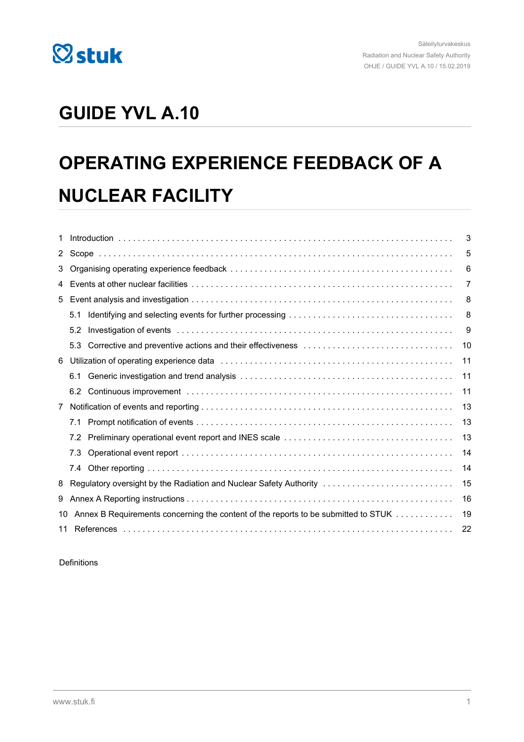

# **GUIDE YVL A.10**

# **OPERATING EXPERIENCE FEEDBACK OF A NUCLEAR FACILITY**

| 1           |          |                                                                                                            | 3  |
|-------------|----------|------------------------------------------------------------------------------------------------------------|----|
| $2^{\circ}$ |          | 5                                                                                                          |    |
| 3           |          | 6                                                                                                          |    |
| 4           |          |                                                                                                            | 7  |
| 5           |          |                                                                                                            | 8  |
|             | 5.1      |                                                                                                            | 8  |
|             | 5.2      |                                                                                                            | 9  |
|             | 5.3      | Corrective and preventive actions and their effectiveness contained and corrective and preventive actions. | 10 |
| 6           |          |                                                                                                            | 11 |
|             | 6.1      |                                                                                                            | 11 |
|             | 6.2      |                                                                                                            | 11 |
| 7           |          |                                                                                                            | 13 |
|             | 7.1      |                                                                                                            | 13 |
|             | 7.2      |                                                                                                            | 13 |
|             | 7.3      |                                                                                                            | 14 |
|             | 7.4      |                                                                                                            | 14 |
| 8           |          | Regulatory oversight by the Radiation and Nuclear Safety Authority                                         | 15 |
| 9           |          |                                                                                                            | 16 |
| 10          |          | Annex B Requirements concerning the content of the reports to be submitted to STUK                         | 19 |
|             | 22<br>11 |                                                                                                            |    |

Definitions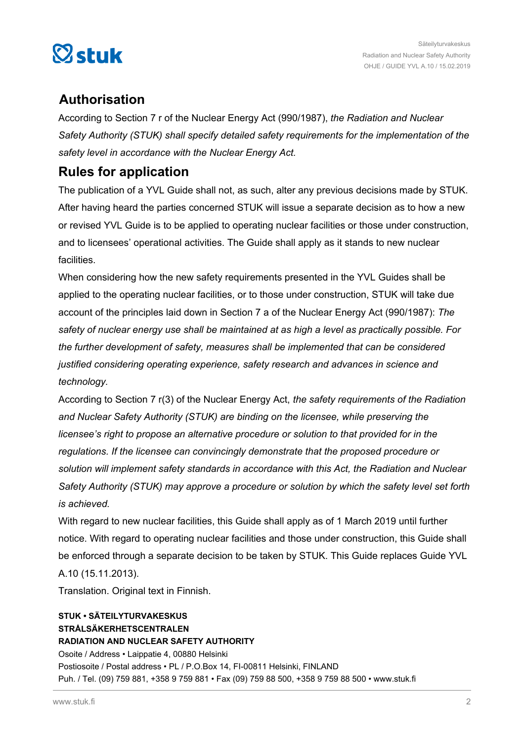

## **Authorisation**

According to Section 7 r of the Nuclear Energy Act (990/1987), *the Radiation and Nuclear Safety Authority (STUK) shall specify detailed safety requirements for the implementation of the safety level in accordance with the Nuclear Energy Act.*

### **Rules for application**

The publication of a YVL Guide shall not, as such, alter any previous decisions made by STUK. After having heard the parties concerned STUK will issue a separate decision as to how a new or revised YVL Guide is to be applied to operating nuclear facilities or those under construction, and to licensees' operational activities. The Guide shall apply as it stands to new nuclear facilities.

When considering how the new safety requirements presented in the YVL Guides shall be applied to the operating nuclear facilities, or to those under construction, STUK will take due account of the principles laid down in Section 7 a of the Nuclear Energy Act (990/1987): *The safety of nuclear energy use shall be maintained at as high a level as practically possible. For the further development of safety, measures shall be implemented that can be considered justified considering operating experience, safety research and advances in science and technology.*

According to Section 7 r(3) of the Nuclear Energy Act, *the safety requirements of the Radiation and Nuclear Safety Authority (STUK) are binding on the licensee, while preserving the licensee's right to propose an alternative procedure or solution to that provided for in the regulations. If the licensee can convincingly demonstrate that the proposed procedure or solution will implement safety standards in accordance with this Act, the Radiation and Nuclear Safety Authority (STUK) may approve a procedure or solution by which the safety level set forth is achieved.*

With regard to new nuclear facilities, this Guide shall apply as of 1 March 2019 until further notice. With regard to operating nuclear facilities and those under construction, this Guide shall be enforced through a separate decision to be taken by STUK. This Guide replaces Guide YVL A.10 (15.11.2013).

Translation. Original text in Finnish.

#### **STUK • SÄTEILYTURVAKESKUS STRÅLSÄKERHETSCENTRALEN RADIATION AND NUCLEAR SAFETY AUTHORITY** Osoite / Address • Laippatie 4, 00880 Helsinki Postiosoite / Postal address • PL / P.O.Box 14, FI-00811 Helsinki, FINLAND

Puh. / Tel. (09) 759 881, +358 9 759 881 • Fax (09) 759 88 500, +358 9 759 88 500 • www.stuk.fi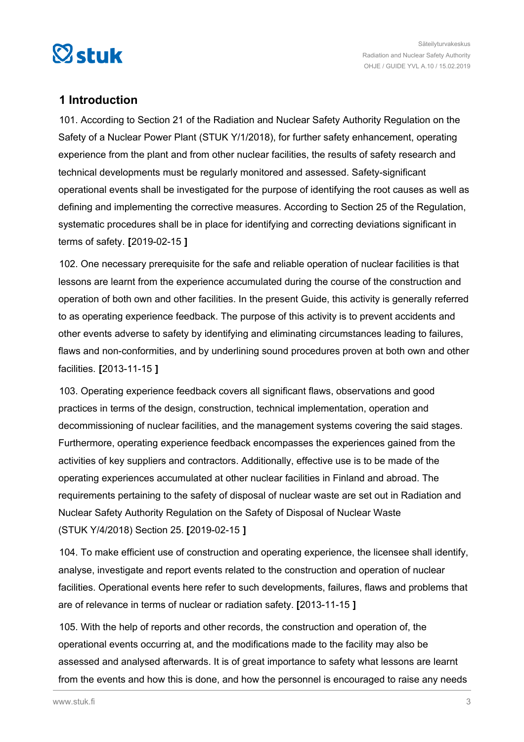<span id="page-2-0"></span>

#### **1 Introduction**

101. According to Section 21 of the Radiation and Nuclear Safety Authority Regulation on the Safety of a Nuclear Power Plant (STUK Y/1/2018), for further safety enhancement, operating experience from the plant and from other nuclear facilities, the results of safety research and technical developments must be regularly monitored and assessed. Safety-significant operational events shall be investigated for the purpose of identifying the root causes as well as defining and implementing the corrective measures. According to Section 25 of the Regulation, systematic procedures shall be in place for identifying and correcting deviations significant in terms of safety. **[**2019-02-15 **]**

102. One necessary prerequisite for the safe and reliable operation of nuclear facilities is that lessons are learnt from the experience accumulated during the course of the construction and operation of both own and other facilities. In the present Guide, this activity is generally referred to as operating experience feedback. The purpose of this activity is to prevent accidents and other events adverse to safety by identifying and eliminating circumstances leading to failures, flaws and non-conformities, and by underlining sound procedures proven at both own and other facilities. **[**2013-11-15 **]**

103. Operating experience feedback covers all significant flaws, observations and good practices in terms of the design, construction, technical implementation, operation and decommissioning of nuclear facilities, and the management systems covering the said stages. Furthermore, operating experience feedback encompasses the experiences gained from the activities of key suppliers and contractors. Additionally, effective use is to be made of the operating experiences accumulated at other nuclear facilities in Finland and abroad. The requirements pertaining to the safety of disposal of nuclear waste are set out in Radiation and Nuclear Safety Authority Regulation on the Safety of Disposal of Nuclear Waste (STUK Y/4/2018) Section 25. **[**2019-02-15 **]**

104. To make efficient use of construction and operating experience, the licensee shall identify, analyse, investigate and report events related to the construction and operation of nuclear facilities. Operational events here refer to such developments, failures, flaws and problems that are of relevance in terms of nuclear or radiation safety. **[**2013-11-15 **]**

105. With the help of reports and other records, the construction and operation of, the operational events occurring at, and the modifications made to the facility may also be assessed and analysed afterwards. It is of great importance to safety what lessons are learnt from the events and how this is done, and how the personnel is encouraged to raise any needs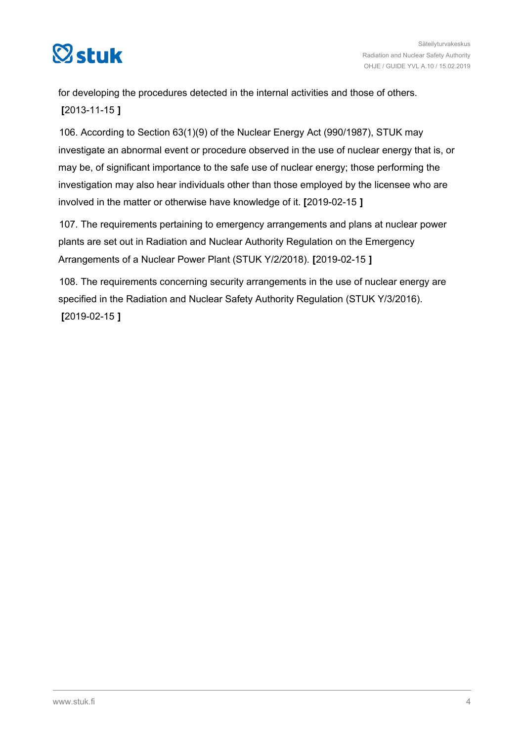

for developing the procedures detected in the internal activities and those of others. **[**2013-11-15 **]**

106. According to Section 63(1)(9) of the Nuclear Energy Act (990/1987), STUK may investigate an abnormal event or procedure observed in the use of nuclear energy that is, or may be, of significant importance to the safe use of nuclear energy; those performing the investigation may also hear individuals other than those employed by the licensee who are involved in the matter or otherwise have knowledge of it. **[**2019-02-15 **]**

107. The requirements pertaining to emergency arrangements and plans at nuclear power plants are set out in Radiation and Nuclear Authority Regulation on the Emergency Arrangements of a Nuclear Power Plant (STUK Y/2/2018). **[**2019-02-15 **]**

108. The requirements concerning security arrangements in the use of nuclear energy are specified in the Radiation and Nuclear Safety Authority Regulation (STUK Y/3/2016). **[**2019-02-15 **]**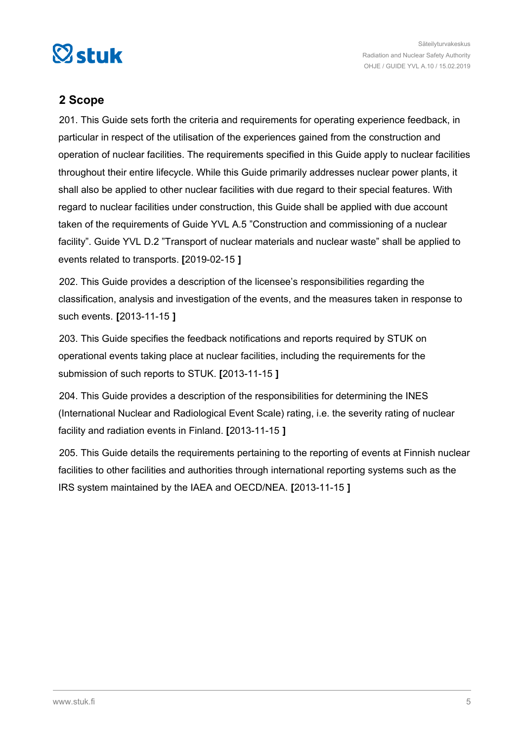<span id="page-4-0"></span>

#### **2 Scope**

201. This Guide sets forth the criteria and requirements for operating experience feedback, in particular in respect of the utilisation of the experiences gained from the construction and operation of nuclear facilities. The requirements specified in this Guide apply to nuclear facilities throughout their entire lifecycle. While this Guide primarily addresses nuclear power plants, it shall also be applied to other nuclear facilities with due regard to their special features. With regard to nuclear facilities under construction, this Guide shall be applied with due account taken of the requirements of Guide YVL A.5 "Construction and commissioning of a nuclear facility". Guide YVL D.2 "Transport of nuclear materials and nuclear waste" shall be applied to events related to transports. **[**2019-02-15 **]**

202. This Guide provides a description of the licensee's responsibilities regarding the classification, analysis and investigation of the events, and the measures taken in response to such events. **[**2013-11-15 **]**

203. This Guide specifies the feedback notifications and reports required by STUK on operational events taking place at nuclear facilities, including the requirements for the submission of such reports to STUK. **[**2013-11-15 **]**

204. This Guide provides a description of the responsibilities for determining the INES (International Nuclear and Radiological Event Scale) rating, i.e. the severity rating of nuclear facility and radiation events in Finland. **[**2013-11-15 **]**

205. This Guide details the requirements pertaining to the reporting of events at Finnish nuclear facilities to other facilities and authorities through international reporting systems such as the IRS system maintained by the IAEA and OECD/NEA. **[**2013-11-15 **]**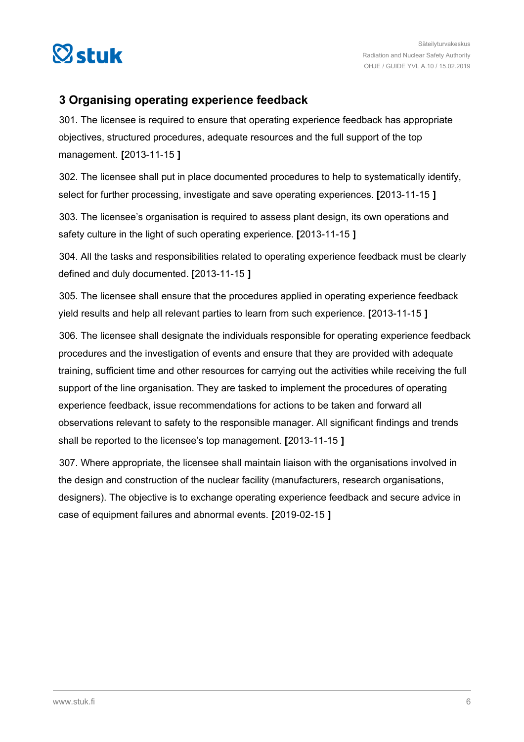<span id="page-5-0"></span>

#### **3 Organising operating experience feedback**

301. The licensee is required to ensure that operating experience feedback has appropriate objectives, structured procedures, adequate resources and the full support of the top management. **[**2013-11-15 **]**

302. The licensee shall put in place documented procedures to help to systematically identify, select for further processing, investigate and save operating experiences. **[**2013-11-15 **]**

303. The licensee's organisation is required to assess plant design, its own operations and safety culture in the light of such operating experience. **[**2013-11-15 **]**

304. All the tasks and responsibilities related to operating experience feedback must be clearly defined and duly documented. **[**2013-11-15 **]**

305. The licensee shall ensure that the procedures applied in operating experience feedback yield results and help all relevant parties to learn from such experience. **[**2013-11-15 **]**

306. The licensee shall designate the individuals responsible for operating experience feedback procedures and the investigation of events and ensure that they are provided with adequate training, sufficient time and other resources for carrying out the activities while receiving the full support of the line organisation. They are tasked to implement the procedures of operating experience feedback, issue recommendations for actions to be taken and forward all observations relevant to safety to the responsible manager. All significant findings and trends shall be reported to the licensee's top management. **[**2013-11-15 **]**

307. Where appropriate, the licensee shall maintain liaison with the organisations involved in the design and construction of the nuclear facility (manufacturers, research organisations, designers). The objective is to exchange operating experience feedback and secure advice in case of equipment failures and abnormal events. **[**2019-02-15 **]**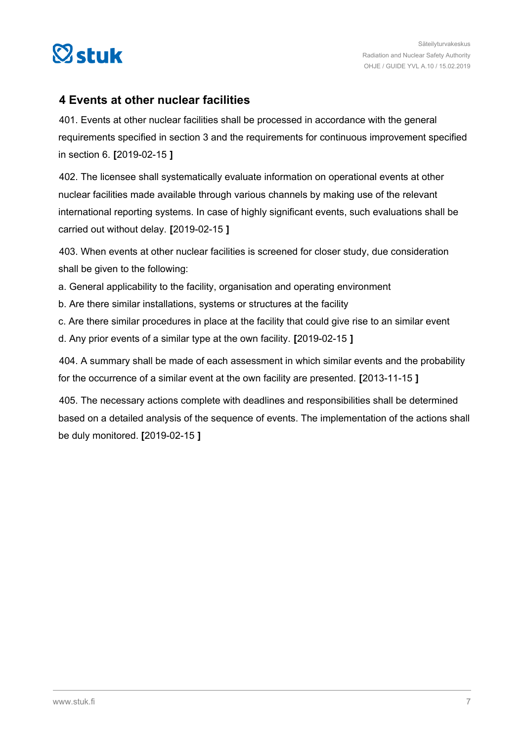<span id="page-6-0"></span>

#### **4 Events at other nuclear facilities**

401. Events at other nuclear facilities shall be processed in accordance with the general requirements specified in section 3 and the requirements for continuous improvement specified in section 6. **[**2019-02-15 **]**

402. The licensee shall systematically evaluate information on operational events at other nuclear facilities made available through various channels by making use of the relevant international reporting systems. In case of highly significant events, such evaluations shall be carried out without delay. **[**2019-02-15 **]**

403. When events at other nuclear facilities is screened for closer study, due consideration shall be given to the following:

- a. General applicability to the facility, organisation and operating environment
- b. Are there similar installations, systems or structures at the facility
- c. Are there similar procedures in place at the facility that could give rise to an similar event
- d. Any prior events of a similar type at the own facility. **[**2019-02-15 **]**

404. A summary shall be made of each assessment in which similar events and the probability for the occurrence of a similar event at the own facility are presented. **[**2013-11-15 **]**

405. The necessary actions complete with deadlines and responsibilities shall be determined based on a detailed analysis of the sequence of events. The implementation of the actions shall be duly monitored. **[**2019-02-15 **]**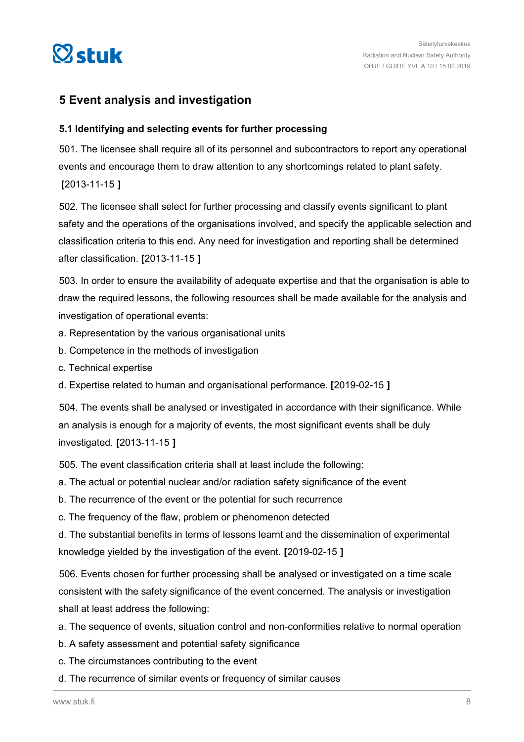<span id="page-7-0"></span>

#### **5 Event analysis and investigation**

#### **5.1 Identifying and selecting events for further processing**

501. The licensee shall require all of its personnel and subcontractors to report any operational events and encourage them to draw attention to any shortcomings related to plant safety. **[**2013-11-15 **]**

502. The licensee shall select for further processing and classify events significant to plant safety and the operations of the organisations involved, and specify the applicable selection and classification criteria to this end. Any need for investigation and reporting shall be determined after classification. **[**2013-11-15 **]**

503. In order to ensure the availability of adequate expertise and that the organisation is able to draw the required lessons, the following resources shall be made available for the analysis and investigation of operational events:

- a. Representation by the various organisational units
- b. Competence in the methods of investigation
- c. Technical expertise
- d. Expertise related to human and organisational performance. **[**2019-02-15 **]**

504. The events shall be analysed or investigated in accordance with their significance. While an analysis is enough for a majority of events, the most significant events shall be duly investigated. **[**2013-11-15 **]**

505. The event classification criteria shall at least include the following:

- a. The actual or potential nuclear and/or radiation safety significance of the event
- b. The recurrence of the event or the potential for such recurrence
- c. The frequency of the flaw, problem or phenomenon detected

d. The substantial benefits in terms of lessons learnt and the dissemination of experimental knowledge yielded by the investigation of the event. **[**2019-02-15 **]**

506. Events chosen for further processing shall be analysed or investigated on a time scale consistent with the safety significance of the event concerned. The analysis or investigation shall at least address the following:

- a. The sequence of events, situation control and non-conformities relative to normal operation
- b. A safety assessment and potential safety significance
- c. The circumstances contributing to the event
- d. The recurrence of similar events or frequency of similar causes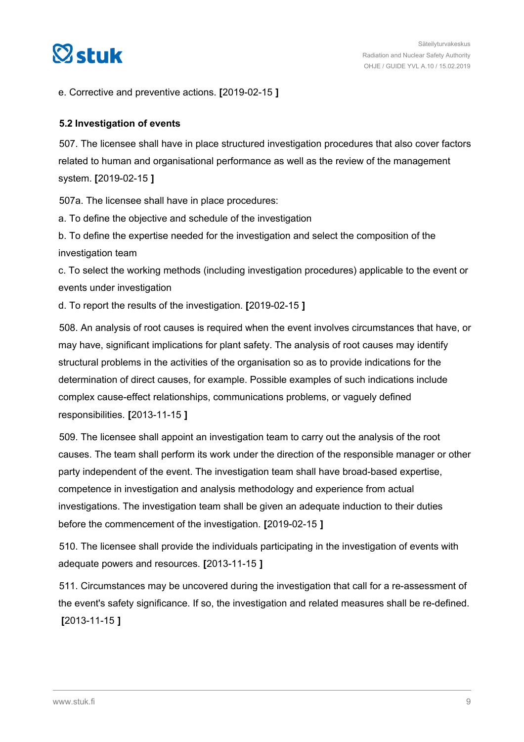<span id="page-8-0"></span>

e. Corrective and preventive actions. **[**2019-02-15 **]**

#### **5.2 Investigation of events**

507. The licensee shall have in place structured investigation procedures that also cover factors related to human and organisational performance as well as the review of the management system. **[**2019-02-15 **]**

507a. The licensee shall have in place procedures:

a. To define the objective and schedule of the investigation

b. To define the expertise needed for the investigation and select the composition of the investigation team

c. To select the working methods (including investigation procedures) applicable to the event or events under investigation

d. To report the results of the investigation. **[**2019-02-15 **]**

508. An analysis of root causes is required when the event involves circumstances that have, or may have, significant implications for plant safety. The analysis of root causes may identify structural problems in the activities of the organisation so as to provide indications for the determination of direct causes, for example. Possible examples of such indications include complex cause-effect relationships, communications problems, or vaguely defined responsibilities. **[**2013-11-15 **]**

509. The licensee shall appoint an investigation team to carry out the analysis of the root causes. The team shall perform its work under the direction of the responsible manager or other party independent of the event. The investigation team shall have broad-based expertise, competence in investigation and analysis methodology and experience from actual investigations. The investigation team shall be given an adequate induction to their duties before the commencement of the investigation. **[**2019-02-15 **]**

510. The licensee shall provide the individuals participating in the investigation of events with adequate powers and resources. **[**2013-11-15 **]**

511. Circumstances may be uncovered during the investigation that call for a re-assessment of the event's safety significance. If so, the investigation and related measures shall be re-defined. **[**2013-11-15 **]**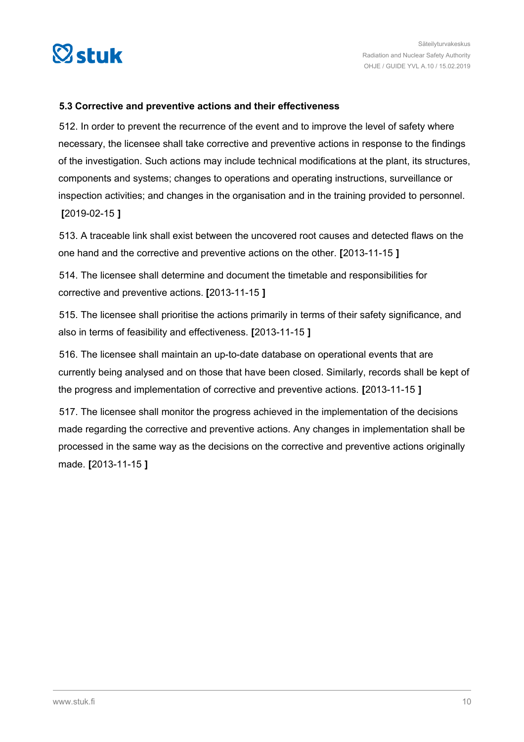<span id="page-9-0"></span>

#### **5.3 Corrective and preventive actions and their effectiveness**

512. In order to prevent the recurrence of the event and to improve the level of safety where necessary, the licensee shall take corrective and preventive actions in response to the findings of the investigation. Such actions may include technical modifications at the plant, its structures, components and systems; changes to operations and operating instructions, surveillance or inspection activities; and changes in the organisation and in the training provided to personnel. **[**2019-02-15 **]**

513. A traceable link shall exist between the uncovered root causes and detected flaws on the one hand and the corrective and preventive actions on the other. **[**2013-11-15 **]**

514. The licensee shall determine and document the timetable and responsibilities for corrective and preventive actions. **[**2013-11-15 **]**

515. The licensee shall prioritise the actions primarily in terms of their safety significance, and also in terms of feasibility and effectiveness. **[**2013-11-15 **]**

516. The licensee shall maintain an up-to-date database on operational events that are currently being analysed and on those that have been closed. Similarly, records shall be kept of the progress and implementation of corrective and preventive actions. **[**2013-11-15 **]**

517. The licensee shall monitor the progress achieved in the implementation of the decisions made regarding the corrective and preventive actions. Any changes in implementation shall be processed in the same way as the decisions on the corrective and preventive actions originally made. **[**2013-11-15 **]**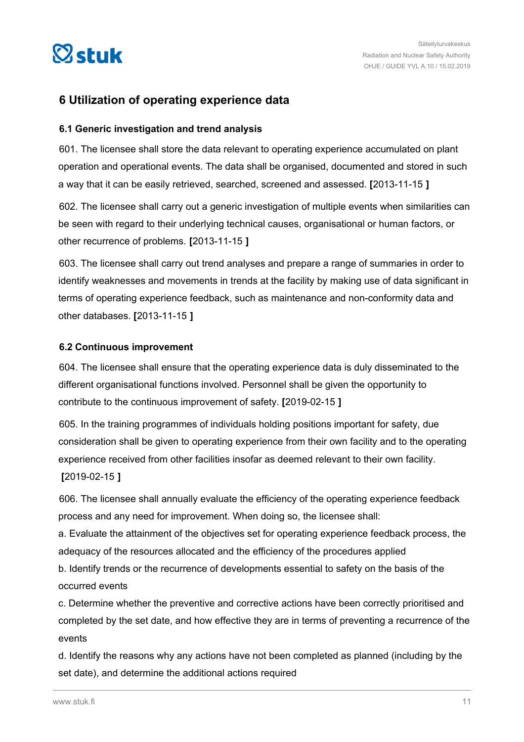<span id="page-10-0"></span>

#### **6 Utilization of operating experience data**

#### **6.1 Generic investigation and trend analysis**

601. The licensee shall store the data relevant to operating experience accumulated on plant operation and operational events. The data shall be organised, documented and stored in such a way that it can be easily retrieved, searched, screened and assessed. **[**2013-11-15 **]**

602. The licensee shall carry out a generic investigation of multiple events when similarities can be seen with regard to their underlying technical causes, organisational or human factors, or other recurrence of problems. **[**2013-11-15 **]**

603. The licensee shall carry out trend analyses and prepare a range of summaries in order to identify weaknesses and movements in trends at the facility by making use of data significant in terms of operating experience feedback, such as maintenance and non-conformity data and other databases. **[**2013-11-15 **]**

#### **6.2 Continuous improvement**

604. The licensee shall ensure that the operating experience data is duly disseminated to the different organisational functions involved. Personnel shall be given the opportunity to contribute to the continuous improvement of safety. **[**2019-02-15 **]**

605. In the training programmes of individuals holding positions important for safety, due consideration shall be given to operating experience from their own facility and to the operating experience received from other facilities insofar as deemed relevant to their own facility. **[**2019-02-15 **]**

606. The licensee shall annually evaluate the efficiency of the operating experience feedback process and any need for improvement. When doing so, the licensee shall:

a. Evaluate the attainment of the objectives set for operating experience feedback process, the adequacy of the resources allocated and the efficiency of the procedures applied

b. Identify trends or the recurrence of developments essential to safety on the basis of the occurred events

c. Determine whether the preventive and corrective actions have been correctly prioritised and completed by the set date, and how effective they are in terms of preventing a recurrence of the events

d. Identify the reasons why any actions have not been completed as planned (including by the set date), and determine the additional actions required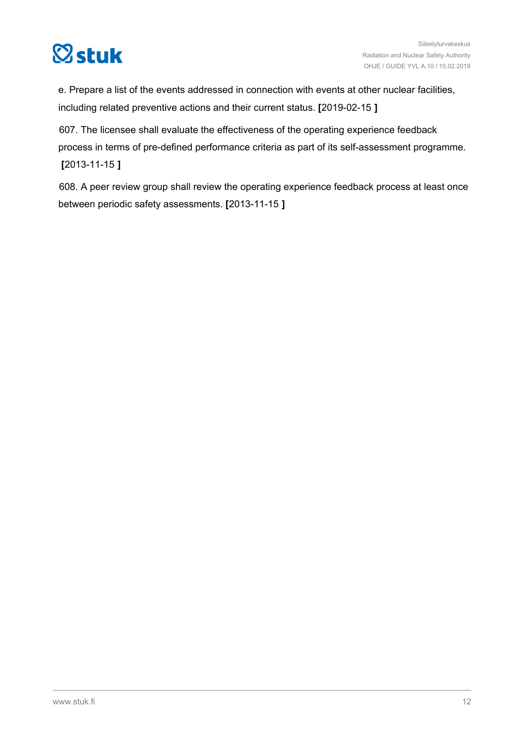

e. Prepare a list of the events addressed in connection with events at other nuclear facilities, including related preventive actions and their current status. **[**2019-02-15 **]**

607. The licensee shall evaluate the effectiveness of the operating experience feedback process in terms of pre-defined performance criteria as part of its self-assessment programme. **[**2013-11-15 **]**

608. A peer review group shall review the operating experience feedback process at least once between periodic safety assessments. **[**2013-11-15 **]**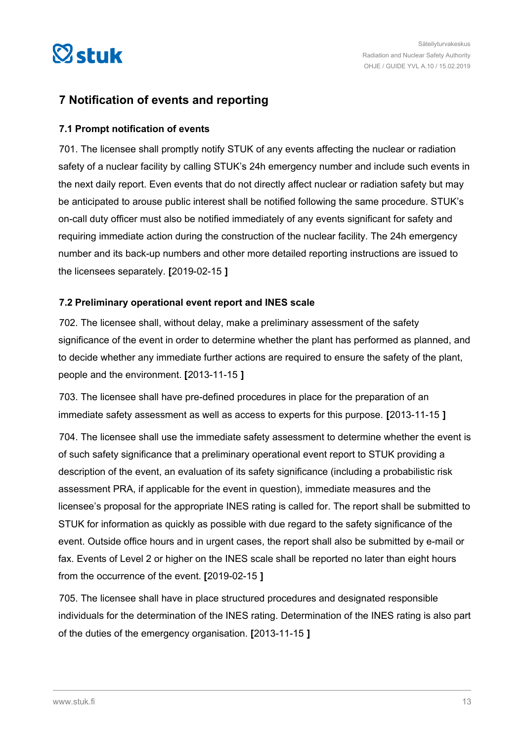<span id="page-12-0"></span>

#### **7 Notification of events and reporting**

#### **7.1 Prompt notification of events**

701. The licensee shall promptly notify STUK of any events affecting the nuclear or radiation safety of a nuclear facility by calling STUK's 24h emergency number and include such events in the next daily report. Even events that do not directly affect nuclear or radiation safety but may be anticipated to arouse public interest shall be notified following the same procedure. STUK's on-call duty officer must also be notified immediately of any events significant for safety and requiring immediate action during the construction of the nuclear facility. The 24h emergency number and its back-up numbers and other more detailed reporting instructions are issued to the licensees separately. **[**2019-02-15 **]**

#### **7.2 Preliminary operational event report and INES scale**

702. The licensee shall, without delay, make a preliminary assessment of the safety significance of the event in order to determine whether the plant has performed as planned, and to decide whether any immediate further actions are required to ensure the safety of the plant, people and the environment. **[**2013-11-15 **]**

703. The licensee shall have pre-defined procedures in place for the preparation of an immediate safety assessment as well as access to experts for this purpose. **[**2013-11-15 **]**

704. The licensee shall use the immediate safety assessment to determine whether the event is of such safety significance that a preliminary operational event report to STUK providing a description of the event, an evaluation of its safety significance (including a probabilistic risk assessment PRA, if applicable for the event in question), immediate measures and the licensee's proposal for the appropriate INES rating is called for. The report shall be submitted to STUK for information as quickly as possible with due regard to the safety significance of the event. Outside office hours and in urgent cases, the report shall also be submitted by e-mail or fax. Events of Level 2 or higher on the INES scale shall be reported no later than eight hours from the occurrence of the event. **[**2019-02-15 **]**

705. The licensee shall have in place structured procedures and designated responsible individuals for the determination of the INES rating. Determination of the INES rating is also part of the duties of the emergency organisation. **[**2013-11-15 **]**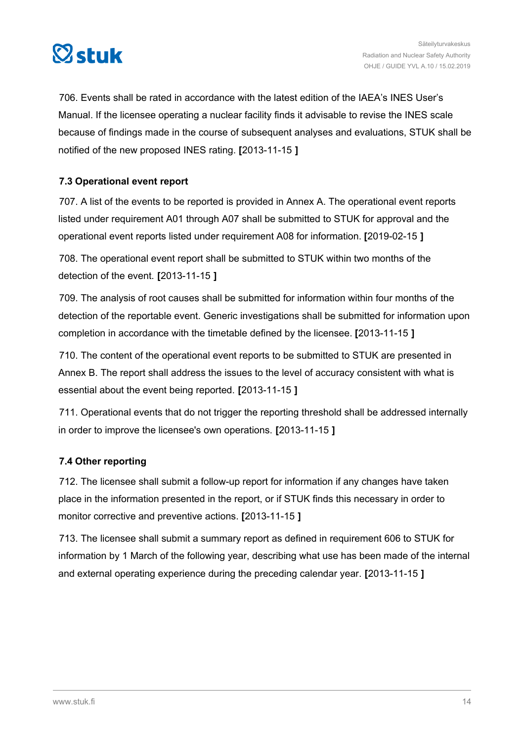<span id="page-13-0"></span>

706. Events shall be rated in accordance with the latest edition of the IAEA's INES User's Manual. If the licensee operating a nuclear facility finds it advisable to revise the INES scale because of findings made in the course of subsequent analyses and evaluations, STUK shall be notified of the new proposed INES rating. **[**2013-11-15 **]**

#### **7.3 Operational event report**

707. A list of the events to be reported is provided in Annex A. The operational event reports listed under requirement A01 through A07 shall be submitted to STUK for approval and the operational event reports listed under requirement A08 for information. **[**2019-02-15 **]**

708. The operational event report shall be submitted to STUK within two months of the detection of the event. **[**2013-11-15 **]**

709. The analysis of root causes shall be submitted for information within four months of the detection of the reportable event. Generic investigations shall be submitted for information upon completion in accordance with the timetable defined by the licensee. **[**2013-11-15 **]**

710. The content of the operational event reports to be submitted to STUK are presented in Annex B. The report shall address the issues to the level of accuracy consistent with what is essential about the event being reported. **[**2013-11-15 **]**

711. Operational events that do not trigger the reporting threshold shall be addressed internally in order to improve the licensee's own operations. **[**2013-11-15 **]**

#### **7.4 Other reporting**

712. The licensee shall submit a follow-up report for information if any changes have taken place in the information presented in the report, or if STUK finds this necessary in order to monitor corrective and preventive actions. **[**2013-11-15 **]**

713. The licensee shall submit a summary report as defined in requirement 606 to STUK for information by 1 March of the following year, describing what use has been made of the internal and external operating experience during the preceding calendar year. **[**2013-11-15 **]**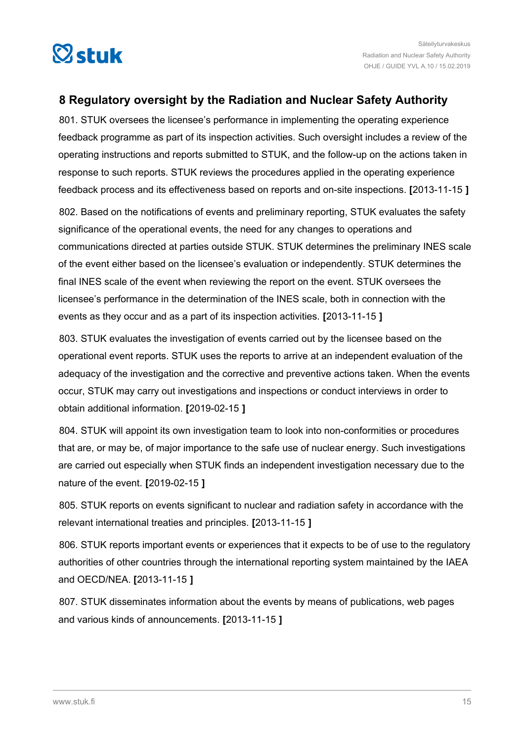<span id="page-14-0"></span>

#### **8 Regulatory oversight by the Radiation and Nuclear Safety Authority**

801. STUK oversees the licensee's performance in implementing the operating experience feedback programme as part of its inspection activities. Such oversight includes a review of the operating instructions and reports submitted to STUK, and the follow-up on the actions taken in response to such reports. STUK reviews the procedures applied in the operating experience feedback process and its effectiveness based on reports and on-site inspections. **[**2013-11-15 **]**

802. Based on the notifications of events and preliminary reporting, STUK evaluates the safety significance of the operational events, the need for any changes to operations and communications directed at parties outside STUK. STUK determines the preliminary INES scale of the event either based on the licensee's evaluation or independently. STUK determines the final INES scale of the event when reviewing the report on the event. STUK oversees the licensee's performance in the determination of the INES scale, both in connection with the events as they occur and as a part of its inspection activities. **[**2013-11-15 **]**

803. STUK evaluates the investigation of events carried out by the licensee based on the operational event reports. STUK uses the reports to arrive at an independent evaluation of the adequacy of the investigation and the corrective and preventive actions taken. When the events occur, STUK may carry out investigations and inspections or conduct interviews in order to obtain additional information. **[**2019-02-15 **]**

804. STUK will appoint its own investigation team to look into non-conformities or procedures that are, or may be, of major importance to the safe use of nuclear energy. Such investigations are carried out especially when STUK finds an independent investigation necessary due to the nature of the event. **[**2019-02-15 **]**

805. STUK reports on events significant to nuclear and radiation safety in accordance with the relevant international treaties and principles. **[**2013-11-15 **]**

806. STUK reports important events or experiences that it expects to be of use to the regulatory authorities of other countries through the international reporting system maintained by the IAEA and OECD/NEA. **[**2013-11-15 **]**

807. STUK disseminates information about the events by means of publications, web pages and various kinds of announcements. **[**2013-11-15 **]**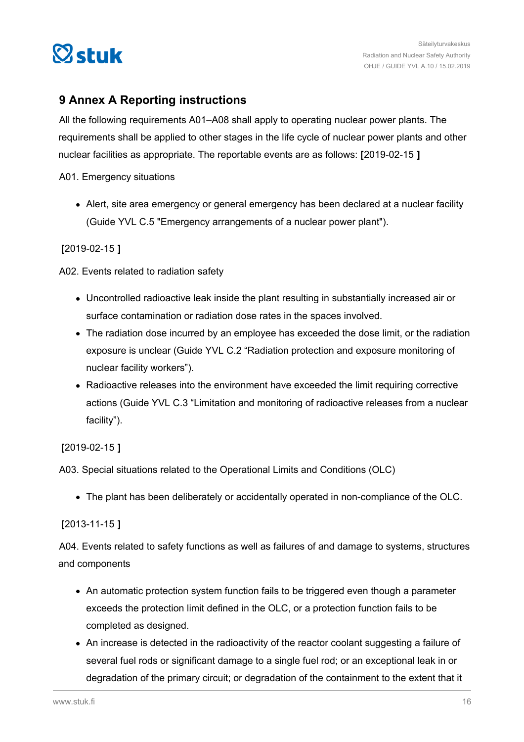<span id="page-15-0"></span>

#### **9 Annex A Reporting instructions**

All the following requirements A01–A08 shall apply to operating nuclear power plants. The requirements shall be applied to other stages in the life cycle of nuclear power plants and other nuclear facilities as appropriate. The reportable events are as follows: **[**2019-02-15 **]**

A01. Emergency situations

Alert, site area emergency or general emergency has been declared at a nuclear facility (Guide YVL C.5 "Emergency arrangements of a nuclear power plant").

#### **[**2019-02-15 **]**

A02. Events related to radiation safety

- Uncontrolled radioactive leak inside the plant resulting in substantially increased air or surface contamination or radiation dose rates in the spaces involved.
- The radiation dose incurred by an employee has exceeded the dose limit, or the radiation exposure is unclear (Guide YVL C.2 "Radiation protection and exposure monitoring of nuclear facility workers").
- Radioactive releases into the environment have exceeded the limit requiring corrective actions (Guide YVL C.3 "Limitation and monitoring of radioactive releases from a nuclear facility").

#### **[**2019-02-15 **]**

A03. Special situations related to the Operational Limits and Conditions (OLC)

The plant has been deliberately or accidentally operated in non-compliance of the OLC.

#### **[**2013-11-15 **]**

A04. Events related to safety functions as well as failures of and damage to systems, structures and components

- An automatic protection system function fails to be triggered even though a parameter exceeds the protection limit defined in the OLC, or a protection function fails to be completed as designed.
- An increase is detected in the radioactivity of the reactor coolant suggesting a failure of several fuel rods or significant damage to a single fuel rod; or an exceptional leak in or degradation of the primary circuit; or degradation of the containment to the extent that it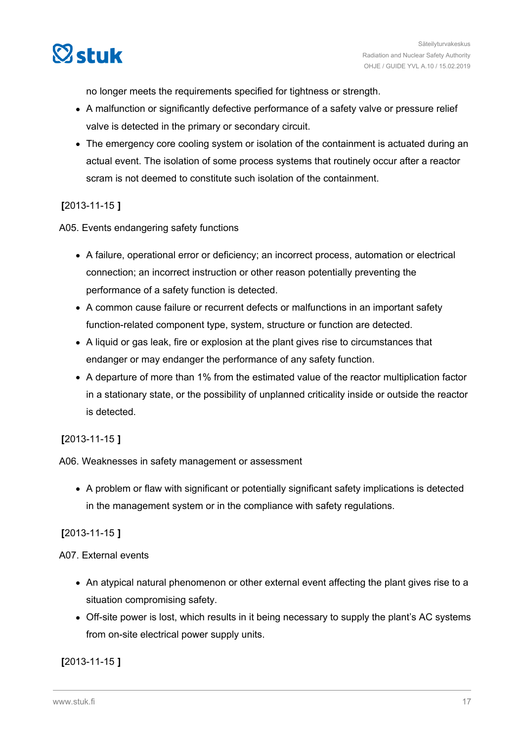

no longer meets the requirements specified for tightness or strength.

- A malfunction or significantly defective performance of a safety valve or pressure relief valve is detected in the primary or secondary circuit.
- The emergency core cooling system or isolation of the containment is actuated during an actual event. The isolation of some process systems that routinely occur after a reactor scram is not deemed to constitute such isolation of the containment.

#### **[**2013-11-15 **]**

A05. Events endangering safety functions

- A failure, operational error or deficiency; an incorrect process, automation or electrical connection; an incorrect instruction or other reason potentially preventing the performance of a safety function is detected.
- A common cause failure or recurrent defects or malfunctions in an important safety function-related component type, system, structure or function are detected.
- A liquid or gas leak, fire or explosion at the plant gives rise to circumstances that endanger or may endanger the performance of any safety function.
- A departure of more than 1% from the estimated value of the reactor multiplication factor in a stationary state, or the possibility of unplanned criticality inside or outside the reactor is detected.

#### **[**2013-11-15 **]**

A06. Weaknesses in safety management or assessment

A problem or flaw with significant or potentially significant safety implications is detected in the management system or in the compliance with safety regulations.

#### **[**2013-11-15 **]**

#### A07. External events

- An atypical natural phenomenon or other external event affecting the plant gives rise to a situation compromising safety.
- Off-site power is lost, which results in it being necessary to supply the plant's AC systems from on-site electrical power supply units.

#### **[**2013-11-15 **]**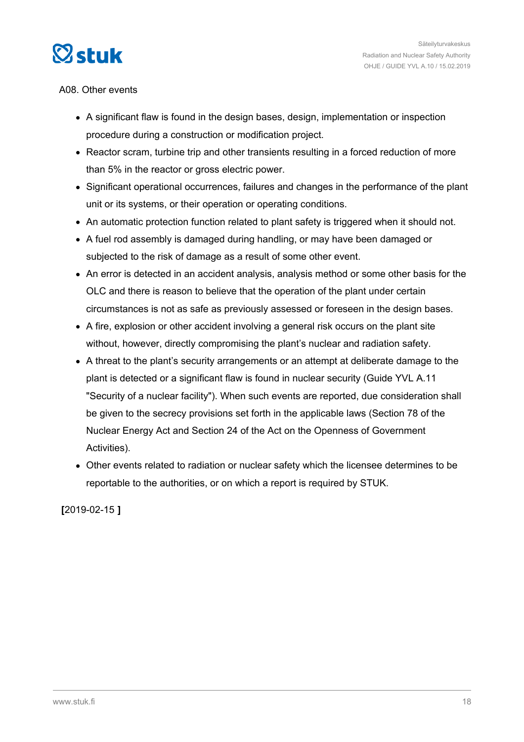

#### A08. Other events

- A significant flaw is found in the design bases, design, implementation or inspection procedure during a construction or modification project.
- Reactor scram, turbine trip and other transients resulting in a forced reduction of more than 5% in the reactor or gross electric power.
- Significant operational occurrences, failures and changes in the performance of the plant unit or its systems, or their operation or operating conditions.
- An automatic protection function related to plant safety is triggered when it should not.
- A fuel rod assembly is damaged during handling, or may have been damaged or subjected to the risk of damage as a result of some other event.
- An error is detected in an accident analysis, analysis method or some other basis for the OLC and there is reason to believe that the operation of the plant under certain circumstances is not as safe as previously assessed or foreseen in the design bases.
- A fire, explosion or other accident involving a general risk occurs on the plant site without, however, directly compromising the plant's nuclear and radiation safety.
- A threat to the plant's security arrangements or an attempt at deliberate damage to the plant is detected or a significant flaw is found in nuclear security (Guide YVL A.11 "Security of a nuclear facility"). When such events are reported, due consideration shall be given to the secrecy provisions set forth in the applicable laws (Section 78 of the Nuclear Energy Act and Section 24 of the Act on the Openness of Government Activities).
- Other events related to radiation or nuclear safety which the licensee determines to be reportable to the authorities, or on which a report is required by STUK.

**[**2019-02-15 **]**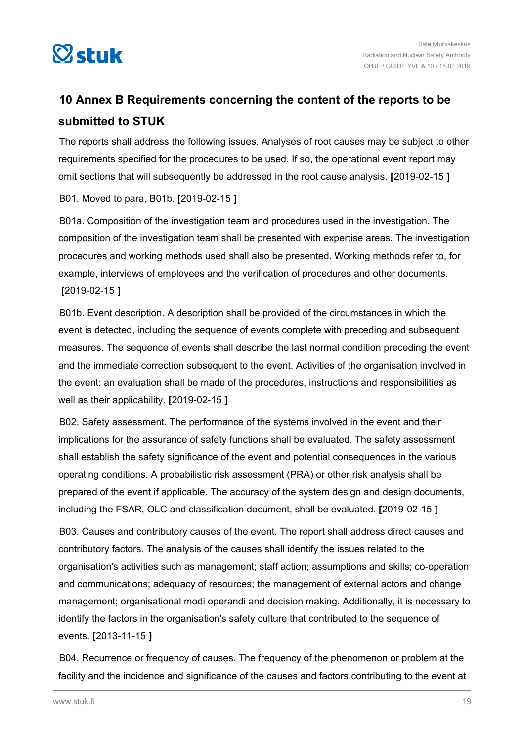<span id="page-18-0"></span>

## **10 Annex B Requirements concerning the content of the reports to be submitted to STUK**

The reports shall address the following issues. Analyses of root causes may be subject to other requirements specified for the procedures to be used. If so, the operational event report may omit sections that will subsequently be addressed in the root cause analysis. **[**2019-02-15 **]**

#### B01. Moved to para. B01b. **[**2019-02-15 **]**

B01a. Composition of the investigation team and procedures used in the investigation. The composition of the investigation team shall be presented with expertise areas. The investigation procedures and working methods used shall also be presented. Working methods refer to, for example, interviews of employees and the verification of procedures and other documents. **[**2019-02-15 **]**

B01b. Event description. A description shall be provided of the circumstances in which the event is detected, including the sequence of events complete with preceding and subsequent measures. The sequence of events shall describe the last normal condition preceding the event and the immediate correction subsequent to the event. Activities of the organisation involved in the event: an evaluation shall be made of the procedures, instructions and responsibilities as well as their applicability. **[**2019-02-15 **]**

B02. Safety assessment. The performance of the systems involved in the event and their implications for the assurance of safety functions shall be evaluated. The safety assessment shall establish the safety significance of the event and potential consequences in the various operating conditions. A probabilistic risk assessment (PRA) or other risk analysis shall be prepared of the event if applicable. The accuracy of the system design and design documents, including the FSAR, OLC and classification document, shall be evaluated. **[**2019-02-15 **]**

B03. Causes and contributory causes of the event. The report shall address direct causes and contributory factors. The analysis of the causes shall identify the issues related to the organisation's activities such as management; staff action; assumptions and skills; co-operation and communications; adequacy of resources; the management of external actors and change management; organisational modi operandi and decision making. Additionally, it is necessary to identify the factors in the organisation's safety culture that contributed to the sequence of events. **[**2013-11-15 **]**

B04. Recurrence or frequency of causes. The frequency of the phenomenon or problem at the facility and the incidence and significance of the causes and factors contributing to the event at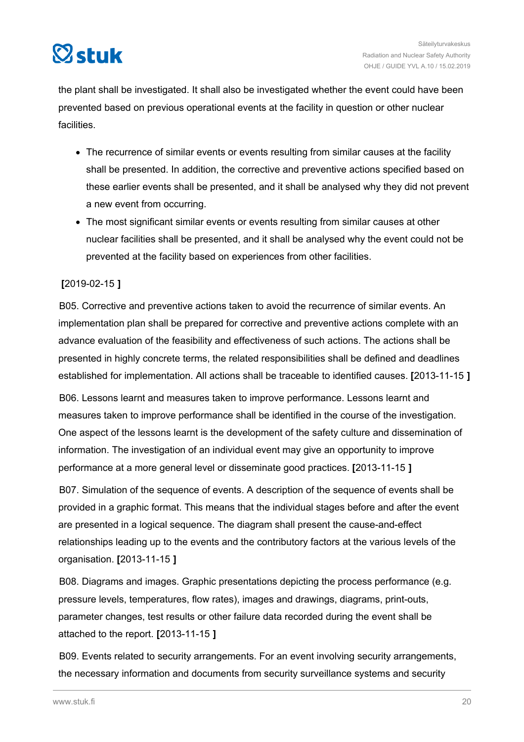

the plant shall be investigated. It shall also be investigated whether the event could have been prevented based on previous operational events at the facility in question or other nuclear facilities.

- The recurrence of similar events or events resulting from similar causes at the facility shall be presented. In addition, the corrective and preventive actions specified based on these earlier events shall be presented, and it shall be analysed why they did not prevent a new event from occurring.
- The most significant similar events or events resulting from similar causes at other nuclear facilities shall be presented, and it shall be analysed why the event could not be prevented at the facility based on experiences from other facilities.

#### **[**2019-02-15 **]**

B05. Corrective and preventive actions taken to avoid the recurrence of similar events. An implementation plan shall be prepared for corrective and preventive actions complete with an advance evaluation of the feasibility and effectiveness of such actions. The actions shall be presented in highly concrete terms, the related responsibilities shall be defined and deadlines established for implementation. All actions shall be traceable to identified causes. **[**2013-11-15 **]**

B06. Lessons learnt and measures taken to improve performance. Lessons learnt and measures taken to improve performance shall be identified in the course of the investigation. One aspect of the lessons learnt is the development of the safety culture and dissemination of information. The investigation of an individual event may give an opportunity to improve performance at a more general level or disseminate good practices. **[**2013-11-15 **]**

B07. Simulation of the sequence of events. A description of the sequence of events shall be provided in a graphic format. This means that the individual stages before and after the event are presented in a logical sequence. The diagram shall present the cause-and-effect relationships leading up to the events and the contributory factors at the various levels of the organisation. **[**2013-11-15 **]**

B08. Diagrams and images. Graphic presentations depicting the process performance (e.g. pressure levels, temperatures, flow rates), images and drawings, diagrams, print-outs, parameter changes, test results or other failure data recorded during the event shall be attached to the report. **[**2013-11-15 **]**

B09. Events related to security arrangements. For an event involving security arrangements, the necessary information and documents from security surveillance systems and security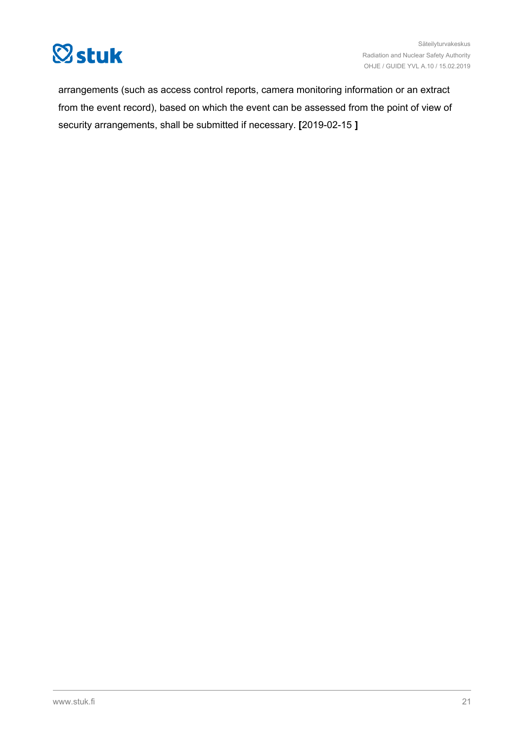

arrangements (such as access control reports, camera monitoring information or an extract from the event record), based on which the event can be assessed from the point of view of security arrangements, shall be submitted if necessary. **[**2019-02-15 **]**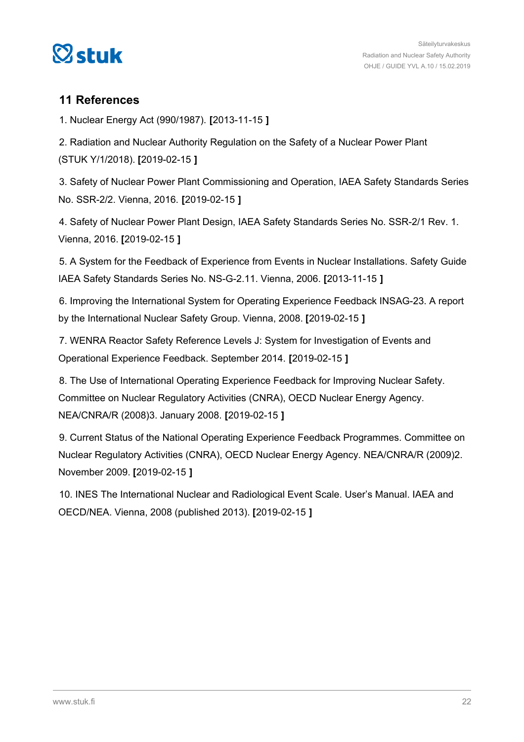<span id="page-21-0"></span>

#### **11 References**

1. Nuclear Energy Act (990/1987). **[**2013-11-15 **]**

2. Radiation and Nuclear Authority Regulation on the Safety of a Nuclear Power Plant (STUK Y/1/2018). **[**2019-02-15 **]**

3. Safety of Nuclear Power Plant Commissioning and Operation, IAEA Safety Standards Series No. SSR-2/2. Vienna, 2016. **[**2019-02-15 **]**

4. Safety of Nuclear Power Plant Design, IAEA Safety Standards Series No. SSR-2/1 Rev. 1. Vienna, 2016. **[**2019-02-15 **]**

5. A System for the Feedback of Experience from Events in Nuclear Installations. Safety Guide IAEA Safety Standards Series No. NS-G-2.11. Vienna, 2006. **[**2013-11-15 **]**

6. Improving the International System for Operating Experience Feedback INSAG-23. A report by the International Nuclear Safety Group. Vienna, 2008. **[**2019-02-15 **]**

7. WENRA Reactor Safety Reference Levels J: System for Investigation of Events and Operational Experience Feedback. September 2014. **[**2019-02-15 **]**

8. The Use of International Operating Experience Feedback for Improving Nuclear Safety. Committee on Nuclear Regulatory Activities (CNRA), OECD Nuclear Energy Agency. NEA/CNRA/R (2008)3. January 2008. **[**2019-02-15 **]**

9. Current Status of the National Operating Experience Feedback Programmes. Committee on Nuclear Regulatory Activities (CNRA), OECD Nuclear Energy Agency. NEA/CNRA/R (2009)2. November 2009. **[**2019-02-15 **]**

10. INES The International Nuclear and Radiological Event Scale. User's Manual. IAEA and OECD/NEA. Vienna, 2008 (published 2013). **[**2019-02-15 **]**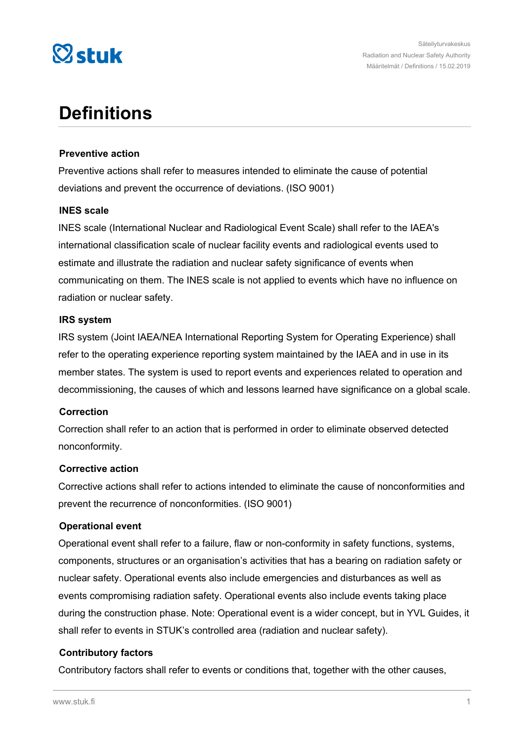

# **Definitions**

#### **Preventive action**

Preventive actions shall refer to measures intended to eliminate the cause of potential deviations and prevent the occurrence of deviations. (ISO 9001)

#### **INES scale**

INES scale (International Nuclear and Radiological Event Scale) shall refer to the IAEA's international classification scale of nuclear facility events and radiological events used to estimate and illustrate the radiation and nuclear safety significance of events when communicating on them. The INES scale is not applied to events which have no influence on radiation or nuclear safety.

#### **IRS system**

IRS system (Joint IAEA/NEA International Reporting System for Operating Experience) shall refer to the operating experience reporting system maintained by the IAEA and in use in its member states. The system is used to report events and experiences related to operation and decommissioning, the causes of which and lessons learned have significance on a global scale.

#### **Correction**

Correction shall refer to an action that is performed in order to eliminate observed detected nonconformity.

#### **Corrective action**

Corrective actions shall refer to actions intended to eliminate the cause of nonconformities and prevent the recurrence of nonconformities. (ISO 9001)

#### **Operational event**

Operational event shall refer to a failure, flaw or non-conformity in safety functions, systems, components, structures or an organisation's activities that has a bearing on radiation safety or nuclear safety. Operational events also include emergencies and disturbances as well as events compromising radiation safety. Operational events also include events taking place during the construction phase. Note: Operational event is a wider concept, but in YVL Guides, it shall refer to events in STUK's controlled area (radiation and nuclear safety).

#### **Contributory factors**

Contributory factors shall refer to events or conditions that, together with the other causes,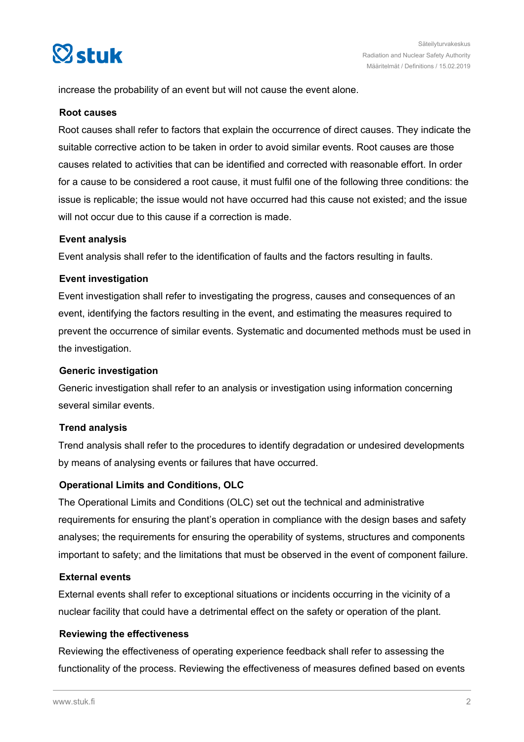

increase the probability of an event but will not cause the event alone.

#### **Root causes**

Root causes shall refer to factors that explain the occurrence of direct causes. They indicate the suitable corrective action to be taken in order to avoid similar events. Root causes are those causes related to activities that can be identified and corrected with reasonable effort. In order for a cause to be considered a root cause, it must fulfil one of the following three conditions: the issue is replicable; the issue would not have occurred had this cause not existed; and the issue will not occur due to this cause if a correction is made.

#### **Event analysis**

Event analysis shall refer to the identification of faults and the factors resulting in faults.

#### **Event investigation**

Event investigation shall refer to investigating the progress, causes and consequences of an event, identifying the factors resulting in the event, and estimating the measures required to prevent the occurrence of similar events. Systematic and documented methods must be used in the investigation.

#### **Generic investigation**

Generic investigation shall refer to an analysis or investigation using information concerning several similar events.

#### **Trend analysis**

Trend analysis shall refer to the procedures to identify degradation or undesired developments by means of analysing events or failures that have occurred.

#### **Operational Limits and Conditions, OLC**

The Operational Limits and Conditions (OLC) set out the technical and administrative requirements for ensuring the plant's operation in compliance with the design bases and safety analyses; the requirements for ensuring the operability of systems, structures and components important to safety; and the limitations that must be observed in the event of component failure.

#### **External events**

External events shall refer to exceptional situations or incidents occurring in the vicinity of a nuclear facility that could have a detrimental effect on the safety or operation of the plant.

#### **Reviewing the effectiveness**

Reviewing the effectiveness of operating experience feedback shall refer to assessing the functionality of the process. Reviewing the effectiveness of measures defined based on events